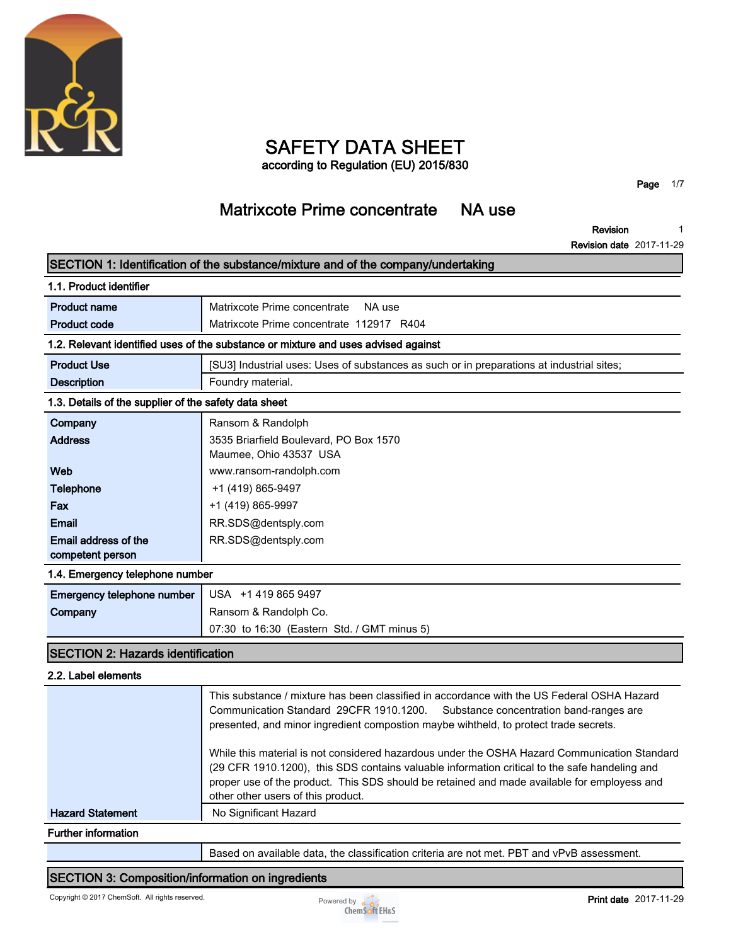

# **SAFETY DATA SHEET**

**according to Regulation (EU) 2015/830**

**Page 1/7**

# **Matrixcote Prime concentrate NA use**

**Revision 1**

**Revision date 2017-11-29**

|                                                       | SECTION 1: Identification of the substance/mixture and of the company/undertaking                                                                                             |  |
|-------------------------------------------------------|-------------------------------------------------------------------------------------------------------------------------------------------------------------------------------|--|
| 1.1. Product identifier                               |                                                                                                                                                                               |  |
| <b>Product name</b>                                   | Matrixcote Prime concentrate<br>NA use                                                                                                                                        |  |
| <b>Product code</b>                                   | Matrixcote Prime concentrate 112917 R404                                                                                                                                      |  |
|                                                       | 1.2. Relevant identified uses of the substance or mixture and uses advised against                                                                                            |  |
| <b>Product Use</b>                                    | [SU3] Industrial uses: Uses of substances as such or in preparations at industrial sites;                                                                                     |  |
| <b>Description</b>                                    | Foundry material.                                                                                                                                                             |  |
| 1.3. Details of the supplier of the safety data sheet |                                                                                                                                                                               |  |
| Company                                               | Ransom & Randolph                                                                                                                                                             |  |
| <b>Address</b>                                        | 3535 Briarfield Boulevard, PO Box 1570                                                                                                                                        |  |
|                                                       | Maumee, Ohio 43537 USA                                                                                                                                                        |  |
| Web                                                   | www.ransom-randolph.com                                                                                                                                                       |  |
| <b>Telephone</b>                                      | +1 (419) 865-9497                                                                                                                                                             |  |
| Fax                                                   | +1 (419) 865-9997                                                                                                                                                             |  |
| <b>Email</b>                                          | RR.SDS@dentsply.com                                                                                                                                                           |  |
| Email address of the                                  | RR.SDS@dentsply.com                                                                                                                                                           |  |
| competent person                                      |                                                                                                                                                                               |  |
| 1.4. Emergency telephone number                       |                                                                                                                                                                               |  |
| Emergency telephone number                            | USA +1 419 865 9497                                                                                                                                                           |  |
| Company                                               | Ransom & Randolph Co.                                                                                                                                                         |  |
|                                                       | 07:30 to 16:30 (Eastern Std. / GMT minus 5)                                                                                                                                   |  |
| <b>SECTION 2: Hazards identification</b>              |                                                                                                                                                                               |  |
| 2.2. Label elements                                   |                                                                                                                                                                               |  |
|                                                       | This substance / mixture has been classified in accordance with the US Federal OSHA Hazard<br>Communication Standard, 20CED 1010 1200 Substance concentration band ranges are |  |

| Communication Standard 29CFR 1910.1200. Substance concentration band-ranges are      |  |
|--------------------------------------------------------------------------------------|--|
| presented, and minor ingredient compostion maybe wihtheld, to protect trade secrets. |  |

**While this material is not considered hazardous under the OSHA Hazard Communication Standard (29 CFR 1910.1200), this SDS contains valuable information critical to the safe handeling and proper use of the product. This SDS should be retained and made available for employess and other other users of this product. Hazard Statement** No Significant Hazard

**Further information**

**Based on available data, the classification criteria are not met. PBT and vPvB assessment.**

#### **SECTION 3: Composition/information on ingredients**

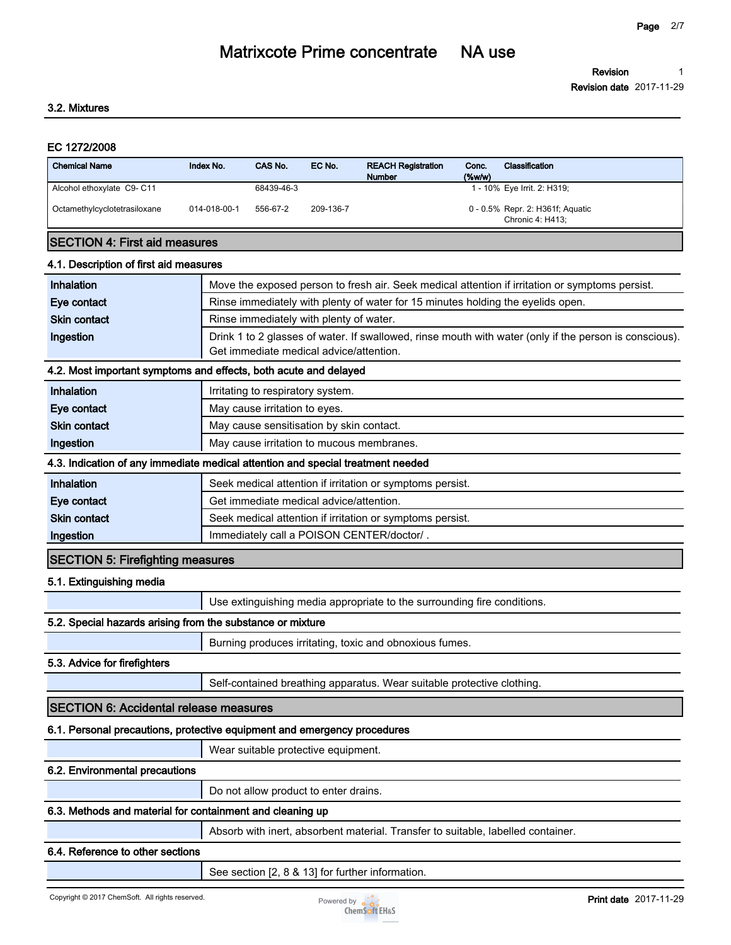#### **3.2. Mixtures**

#### **EC 1272/2008**

| <b>Chemical Name</b>         | Index No.    | CAS No.    | EC No.    | <b>REACH Registration</b><br><b>Number</b> | Conc.<br>(% | Classification                                       |
|------------------------------|--------------|------------|-----------|--------------------------------------------|-------------|------------------------------------------------------|
| Alcohol ethoxylate C9-C11    |              | 68439-46-3 |           |                                            |             | 1 - 10% Eye Irrit. 2: H319;                          |
| Octamethylcyclotetrasiloxane | 014-018-00-1 | 556-67-2   | 209-136-7 |                                            |             | 0 - 0.5% Repr. 2: H361f; Aquatic<br>Chronic 4: H413: |

#### **SECTION 4: First aid measures**

#### **4.1. Description of first aid measures**

| <b>Inhalation</b>   | Move the exposed person to fresh air. Seek medical attention if irritation or symptoms persist.                                                   |  |  |
|---------------------|---------------------------------------------------------------------------------------------------------------------------------------------------|--|--|
| Eye contact         | Rinse immediately with plenty of water for 15 minutes holding the eyelids open.                                                                   |  |  |
| <b>Skin contact</b> | Rinse immediately with plenty of water.                                                                                                           |  |  |
| Ingestion           | Drink 1 to 2 glasses of water. If swallowed, rinse mouth with water (only if the person is conscious).<br>Get immediate medical advice/attention. |  |  |

#### **4.2. Most important symptoms and effects, both acute and delayed**

| Inhalation                                                                      | Irritating to respiratory system.         |  |
|---------------------------------------------------------------------------------|-------------------------------------------|--|
| Eye contact                                                                     | May cause irritation to eyes.             |  |
| <b>Skin contact</b>                                                             | May cause sensitisation by skin contact.  |  |
| Ingestion                                                                       | May cause irritation to mucous membranes. |  |
| 4.3. Indication of any immediate medical attention and special treatment needed |                                           |  |

| <b>Inhalation</b>   | Seek medical attention if irritation or symptoms persist. |
|---------------------|-----------------------------------------------------------|
| Eye contact         | Get immediate medical advice/attention.                   |
| <b>Skin contact</b> | Seek medical attention if irritation or symptoms persist. |
| Ingestion           | Immediately call a POISON CENTER/doctor/.                 |

#### **SECTION 5: Firefighting measures**

#### **5.1. Extinguishing media**

**Use extinguishing media appropriate to the surrounding fire conditions.**

#### **5.2. Special hazards arising from the substance or mixture**

**Burning produces irritating, toxic and obnoxious fumes.**

#### **5.3. Advice for firefighters**

**Self-contained breathing apparatus. Wear suitable protective clothing.**

#### **SECTION 6: Accidental release measures**

#### **6.1. Personal precautions, protective equipment and emergency procedures**

**Wear suitable protective equipment.**

### **6.2. Environmental precautions**

**Do not allow product to enter drains.**

#### **6.3. Methods and material for containment and cleaning up**

**Absorb with inert, absorbent material. Transfer to suitable, labelled container.**

#### **6.4. Reference to other sections**

**See section [2, 8 & 13] for further information.**

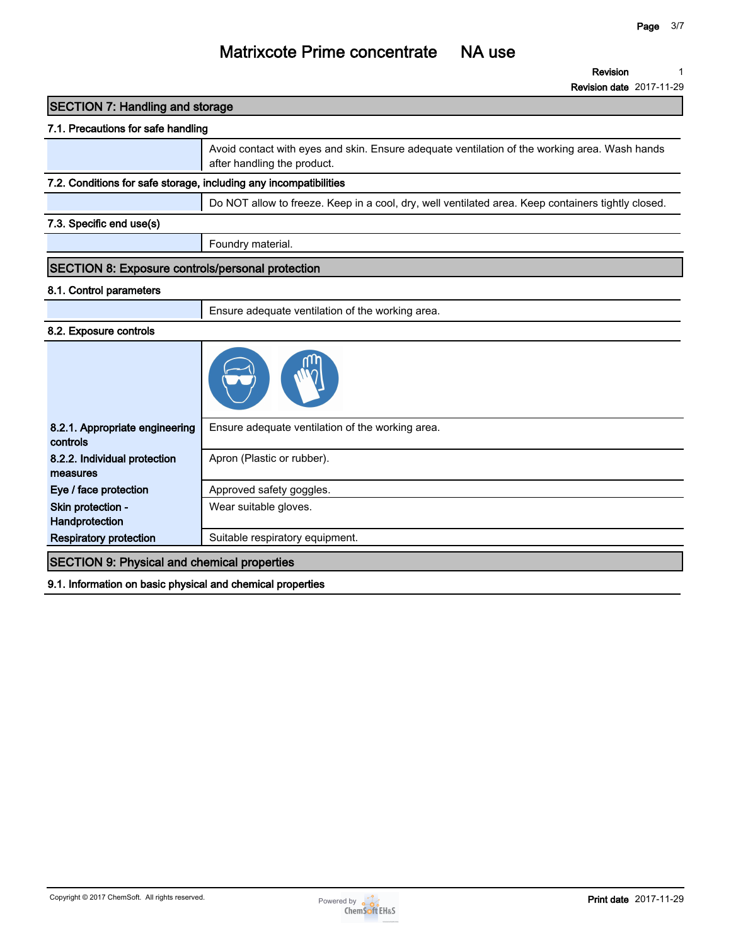**Revision 1**

**Revision date 2017-11-29**

| <b>SECTION 7: Handling and storage</b>                            |                                                                                                                              |
|-------------------------------------------------------------------|------------------------------------------------------------------------------------------------------------------------------|
| 7.1. Precautions for safe handling                                |                                                                                                                              |
|                                                                   | Avoid contact with eyes and skin. Ensure adequate ventilation of the working area. Wash hands<br>after handling the product. |
| 7.2. Conditions for safe storage, including any incompatibilities |                                                                                                                              |
|                                                                   | Do NOT allow to freeze. Keep in a cool, dry, well ventilated area. Keep containers tightly closed.                           |
| 7.3. Specific end use(s)                                          |                                                                                                                              |
|                                                                   | Foundry material.                                                                                                            |
| SECTION 8: Exposure controls/personal protection                  |                                                                                                                              |
| 8.1. Control parameters                                           |                                                                                                                              |
|                                                                   | Ensure adequate ventilation of the working area.                                                                             |
| 8.2. Exposure controls                                            |                                                                                                                              |
|                                                                   |                                                                                                                              |
| 8.2.1. Appropriate engineering<br>controls                        | Ensure adequate ventilation of the working area.                                                                             |
| 8.2.2. Individual protection<br>measures                          | Apron (Plastic or rubber).                                                                                                   |
| Eye / face protection                                             | Approved safety goggles.                                                                                                     |
| Skin protection -<br>Handprotection                               | Wear suitable gloves.                                                                                                        |
|                                                                   |                                                                                                                              |

**9.1. Information on basic physical and chemical properties**

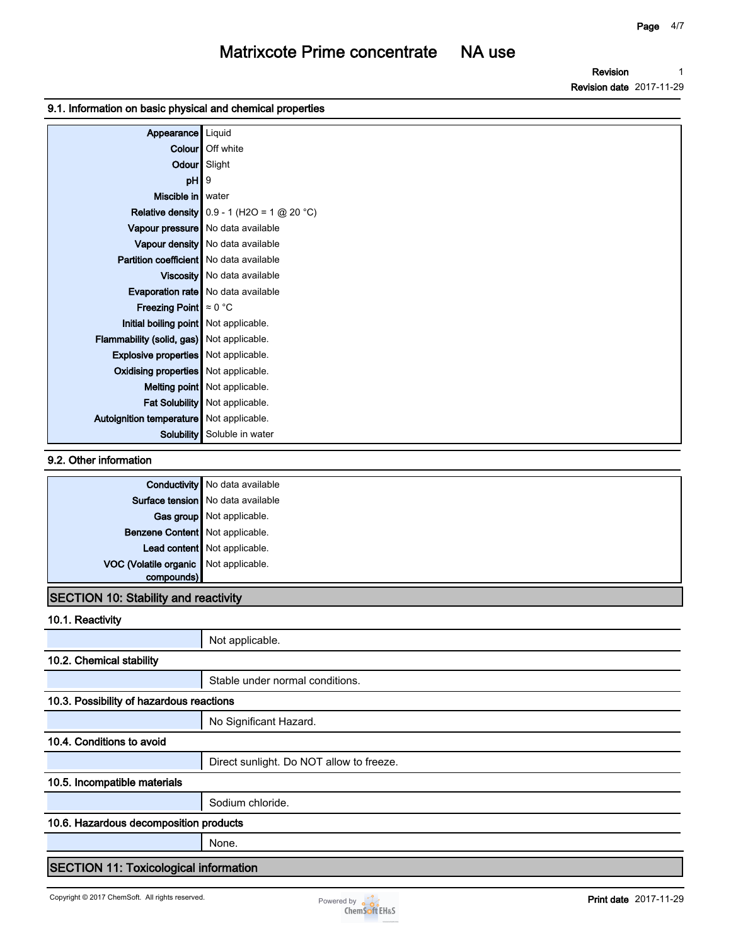**Revision Revision date 2017-11-29 1**

#### **9.1. Information on basic physical and chemical properties**

| Appearance                                  | Liquid                                              |
|---------------------------------------------|-----------------------------------------------------|
| Colour                                      | Off white                                           |
| Odour Slight                                |                                                     |
| pH                                          | l 9                                                 |
| Miscible in water                           |                                                     |
|                                             | <b>Relative density</b> $0.9 - 1$ (H2O = 1 @ 20 °C) |
|                                             | Vapour pressure No data available                   |
|                                             | Vapour density No data available                    |
| Partition coefficient   No data available   |                                                     |
|                                             | Viscosity   No data available                       |
|                                             | Evaporation rate   No data available                |
| <b>Freezing Point</b> $\approx 0$ °C        |                                                     |
| Initial boiling point Not applicable.       |                                                     |
| Flammability (solid, gas) Not applicable.   |                                                     |
| <b>Explosive properties</b> Not applicable. |                                                     |
| Oxidising properties Not applicable.        |                                                     |
|                                             | Melting point Not applicable.                       |
|                                             | Fat Solubility Not applicable.                      |
| Autoignition temperature Not applicable.    |                                                     |
| <b>Solubility</b>                           | Soluble in water                                    |

#### **9.2. Other information**

|                                       | <b>Conductivity</b> No data available |
|---------------------------------------|---------------------------------------|
|                                       | Surface tension No data available     |
|                                       | Gas group Not applicable.             |
| Benzene Content Not applicable.       |                                       |
|                                       | Lead content Not applicable.          |
| VOC (Volatile organic Not applicable. |                                       |
| compounds)                            |                                       |

### **SECTION 10: Stability and reactivity**

**10.1. Reactivity**

|                                              | Not applicable.                          |  |
|----------------------------------------------|------------------------------------------|--|
| 10.2. Chemical stability                     |                                          |  |
|                                              | Stable under normal conditions.          |  |
| 10.3. Possibility of hazardous reactions     |                                          |  |
|                                              | No Significant Hazard.                   |  |
| 10.4. Conditions to avoid                    |                                          |  |
|                                              | Direct sunlight. Do NOT allow to freeze. |  |
| 10.5. Incompatible materials                 |                                          |  |
|                                              | Sodium chloride.                         |  |
| 10.6. Hazardous decomposition products       |                                          |  |
|                                              | None.                                    |  |
| <b>SECTION 11: Toxicological information</b> |                                          |  |

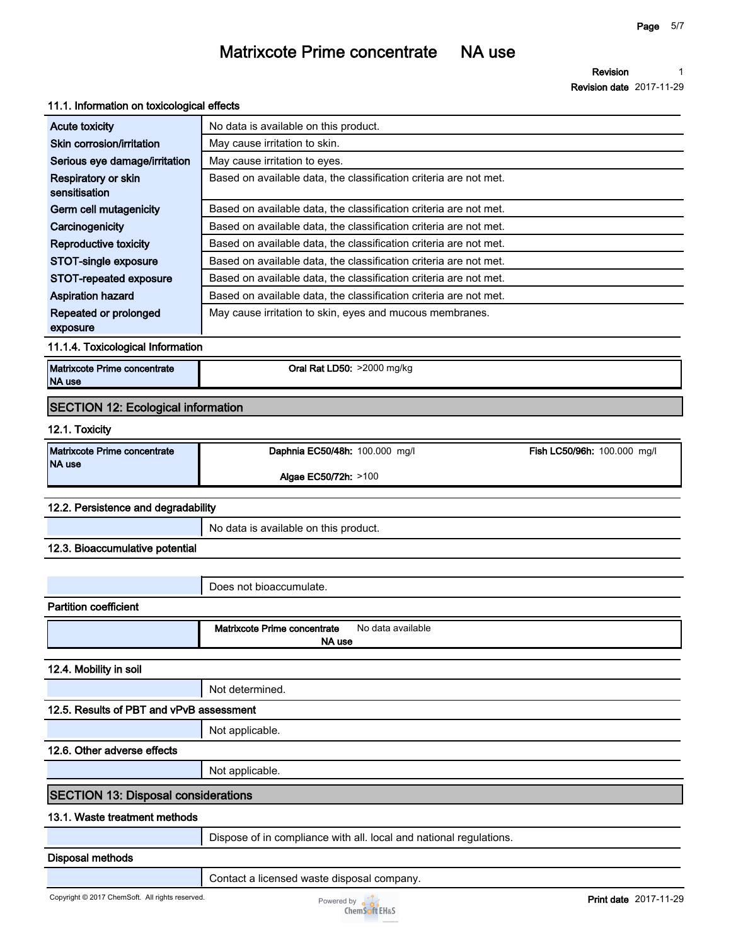**Revision 1**

**Revision date 2017-11-29**

| 11.1. Information on toxicological effects    |                                                                   |
|-----------------------------------------------|-------------------------------------------------------------------|
| <b>Acute toxicity</b>                         | No data is available on this product.                             |
| Skin corrosion/irritation                     | May cause irritation to skin.                                     |
| Serious eye damage/irritation                 | May cause irritation to eyes.                                     |
| Respiratory or skin<br>sensitisation          | Based on available data, the classification criteria are not met. |
| Germ cell mutagenicity                        | Based on available data, the classification criteria are not met. |
| Carcinogenicity                               | Based on available data, the classification criteria are not met. |
| <b>Reproductive toxicity</b>                  | Based on available data, the classification criteria are not met. |
| STOT-single exposure                          | Based on available data, the classification criteria are not met. |
| STOT-repeated exposure                        | Based on available data, the classification criteria are not met. |
| <b>Aspiration hazard</b>                      | Based on available data, the classification criteria are not met. |
| Repeated or prolonged<br>exposure             | May cause irritation to skin, eyes and mucous membranes.          |
| 11.1.4. Toxicological Information             |                                                                   |
| Matrixcote Prime concentrate<br><b>NA use</b> | Oral Rat LD50: >2000 mg/kg                                        |
| <b>SECTION 12: Ecological information</b>     |                                                                   |
| 12.1. Toxicity                                |                                                                   |
|                                               |                                                                   |
| Matrixcote Prime concentrate<br>NA use        | Fish LC50/96h: 100.000 mg/l<br>Daphnia EC50/48h: 100.000 mg/l     |
|                                               | Algae EC50/72h: >100                                              |
|                                               |                                                                   |
| 12.2. Persistence and degradability           |                                                                   |
|                                               | No data is available on this product.                             |
| 12.3. Bioaccumulative potential               |                                                                   |
|                                               |                                                                   |
|                                               | Does not bioaccumulate.                                           |
| <b>Partition coefficient</b>                  |                                                                   |
|                                               | Matrixcote Prime concentrate<br>No data available                 |
|                                               | NA use                                                            |
| 12.4. Mobility in soil                        |                                                                   |
|                                               | Not determined.                                                   |
| 12.5. Results of PBT and vPvB assessment      |                                                                   |
|                                               | Not applicable.                                                   |
| 12.6. Other adverse effects                   |                                                                   |

### **SECTION 13: Disposal considerations**

#### **13.1. Waste treatment methods**

**Dispose of in compliance with all. local and national regulations.**

#### **Disposal methods**

**Contact a licensed waste disposal company.**

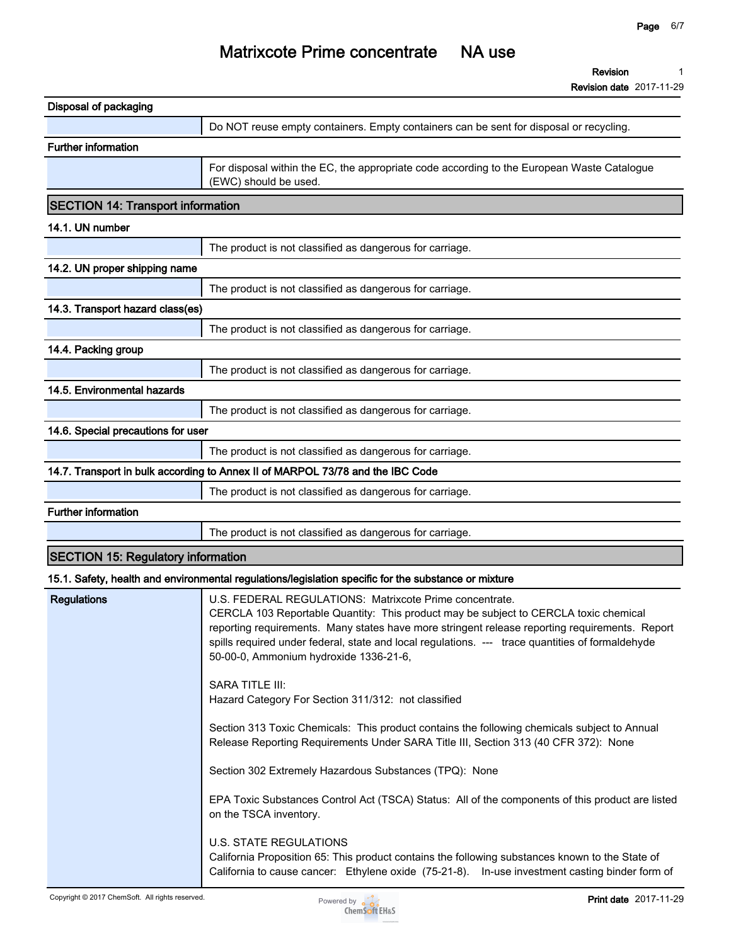**Revision 1**

**Revision date 2017-11-29**

| <b>Disposal of packaging</b>              |                                                                                                                                                                                                                                                                                                                                                                                                                                                                                                                                                                                                                                                                                                                                                                                                                                                                                           |
|-------------------------------------------|-------------------------------------------------------------------------------------------------------------------------------------------------------------------------------------------------------------------------------------------------------------------------------------------------------------------------------------------------------------------------------------------------------------------------------------------------------------------------------------------------------------------------------------------------------------------------------------------------------------------------------------------------------------------------------------------------------------------------------------------------------------------------------------------------------------------------------------------------------------------------------------------|
|                                           | Do NOT reuse empty containers. Empty containers can be sent for disposal or recycling.                                                                                                                                                                                                                                                                                                                                                                                                                                                                                                                                                                                                                                                                                                                                                                                                    |
| <b>Further information</b>                |                                                                                                                                                                                                                                                                                                                                                                                                                                                                                                                                                                                                                                                                                                                                                                                                                                                                                           |
|                                           | For disposal within the EC, the appropriate code according to the European Waste Catalogue<br>(EWC) should be used.                                                                                                                                                                                                                                                                                                                                                                                                                                                                                                                                                                                                                                                                                                                                                                       |
| <b>SECTION 14: Transport information</b>  |                                                                                                                                                                                                                                                                                                                                                                                                                                                                                                                                                                                                                                                                                                                                                                                                                                                                                           |
| 14.1. UN number                           |                                                                                                                                                                                                                                                                                                                                                                                                                                                                                                                                                                                                                                                                                                                                                                                                                                                                                           |
|                                           | The product is not classified as dangerous for carriage.                                                                                                                                                                                                                                                                                                                                                                                                                                                                                                                                                                                                                                                                                                                                                                                                                                  |
| 14.2. UN proper shipping name             |                                                                                                                                                                                                                                                                                                                                                                                                                                                                                                                                                                                                                                                                                                                                                                                                                                                                                           |
|                                           | The product is not classified as dangerous for carriage.                                                                                                                                                                                                                                                                                                                                                                                                                                                                                                                                                                                                                                                                                                                                                                                                                                  |
| 14.3. Transport hazard class(es)          |                                                                                                                                                                                                                                                                                                                                                                                                                                                                                                                                                                                                                                                                                                                                                                                                                                                                                           |
|                                           | The product is not classified as dangerous for carriage.                                                                                                                                                                                                                                                                                                                                                                                                                                                                                                                                                                                                                                                                                                                                                                                                                                  |
| 14.4. Packing group                       |                                                                                                                                                                                                                                                                                                                                                                                                                                                                                                                                                                                                                                                                                                                                                                                                                                                                                           |
|                                           | The product is not classified as dangerous for carriage.                                                                                                                                                                                                                                                                                                                                                                                                                                                                                                                                                                                                                                                                                                                                                                                                                                  |
| 14.5. Environmental hazards               |                                                                                                                                                                                                                                                                                                                                                                                                                                                                                                                                                                                                                                                                                                                                                                                                                                                                                           |
|                                           | The product is not classified as dangerous for carriage.                                                                                                                                                                                                                                                                                                                                                                                                                                                                                                                                                                                                                                                                                                                                                                                                                                  |
| 14.6. Special precautions for user        |                                                                                                                                                                                                                                                                                                                                                                                                                                                                                                                                                                                                                                                                                                                                                                                                                                                                                           |
|                                           | The product is not classified as dangerous for carriage.                                                                                                                                                                                                                                                                                                                                                                                                                                                                                                                                                                                                                                                                                                                                                                                                                                  |
|                                           | 14.7. Transport in bulk according to Annex II of MARPOL 73/78 and the IBC Code                                                                                                                                                                                                                                                                                                                                                                                                                                                                                                                                                                                                                                                                                                                                                                                                            |
|                                           | The product is not classified as dangerous for carriage.                                                                                                                                                                                                                                                                                                                                                                                                                                                                                                                                                                                                                                                                                                                                                                                                                                  |
| <b>Further information</b>                |                                                                                                                                                                                                                                                                                                                                                                                                                                                                                                                                                                                                                                                                                                                                                                                                                                                                                           |
|                                           | The product is not classified as dangerous for carriage.                                                                                                                                                                                                                                                                                                                                                                                                                                                                                                                                                                                                                                                                                                                                                                                                                                  |
| <b>SECTION 15: Regulatory information</b> |                                                                                                                                                                                                                                                                                                                                                                                                                                                                                                                                                                                                                                                                                                                                                                                                                                                                                           |
|                                           | 15.1. Safety, health and environmental regulations/legislation specific for the substance or mixture                                                                                                                                                                                                                                                                                                                                                                                                                                                                                                                                                                                                                                                                                                                                                                                      |
| <b>Regulations</b>                        | U.S. FEDERAL REGULATIONS: Matrixcote Prime concentrate.<br>CERCLA 103 Reportable Quantity: This product may be subject to CERCLA toxic chemical<br>reporting requirements. Many states have more stringent release reporting requirements. Report<br>spills required under federal, state and local regulations. --- trace quantities of formaldehyde<br>50-00-0, Ammonium hydroxide 1336-21-6,<br>SARA TITLE III:<br>Hazard Category For Section 311/312: not classified<br>Section 313 Toxic Chemicals: This product contains the following chemicals subject to Annual<br>Release Reporting Requirements Under SARA Title III, Section 313 (40 CFR 372): None<br>Section 302 Extremely Hazardous Substances (TPQ): None<br>EPA Toxic Substances Control Act (TSCA) Status: All of the components of this product are listed<br>on the TSCA inventory.<br><b>U.S. STATE REGULATIONS</b> |
|                                           | California Proposition 65: This product contains the following substances known to the State of<br>California to cause cancer: Ethylene oxide (75-21-8). In-use investment casting binder form of                                                                                                                                                                                                                                                                                                                                                                                                                                                                                                                                                                                                                                                                                         |